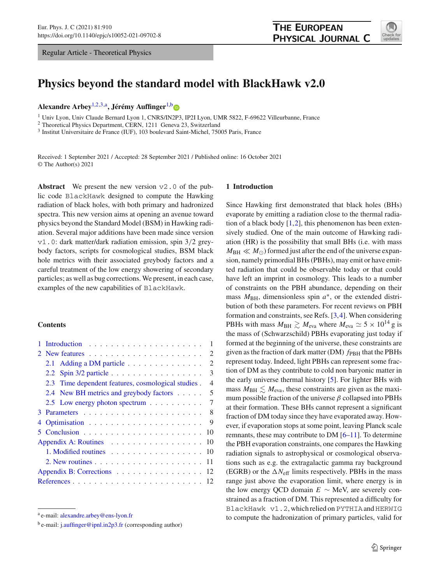Regular Article - Theoretical Physics

<span id="page-0-0"></span>

# **Physics beyond the standard model with BlackHawk v2.0**

**Alexandre Arbey**[1,2](#page-0-0)[,3,](#page-0-1)a**, Jérémy Auffinger**[1,](#page-0-0)[b](http://orcid.org/0000-0001-5209-8095)

<sup>1</sup> Univ Lyon, Univ Claude Bernard Lyon 1, CNRS/IN2P3, IP2I Lyon, UMR 5822, F-69622 Villeurbanne, France

<sup>2</sup> Theoretical Physics Department, CERN, 1211 Geneva 23, Switzerland

<sup>3</sup> Institut Universitaire de France (IUF), 103 boulevard Saint-Michel, 75005 Paris, France

Received: 1 September 2021 / Accepted: 28 September 2021 / Published online: 16 October 2021 © The Author(s) 2021

**Abstract** We present the new version  $\nu$ 2.0 of the public code BlackHawk designed to compute the Hawking radiation of black holes, with both primary and hadronized spectra. This new version aims at opening an avenue toward physics beyond the Standard Model (BSM) in Hawking radiation. Several major additions have been made since version v1.0: dark matter/dark radiation emission, spin 3/2 greybody factors, scripts for cosmological studies, BSM black hole metrics with their associated greybody factors and a careful treatment of the low energy showering of secondary particles; as well as bug corrections. We present, in each case, examples of the new capabilities of BlackHawk.

#### **Contents**

|                            |  |                                                    |  |  |  |  | $\mathbf{1}$   |
|----------------------------|--|----------------------------------------------------|--|--|--|--|----------------|
|                            |  |                                                    |  |  |  |  | 2              |
|                            |  | 2.1 Adding a DM particle                           |  |  |  |  | 2              |
|                            |  | 2.2 Spin 3/2 particle                              |  |  |  |  | 3              |
|                            |  | 2.3 Time dependent features, cosmological studies. |  |  |  |  | $\overline{4}$ |
|                            |  | 2.4 New BH metrics and greybody factors            |  |  |  |  | 5              |
|                            |  | 2.5 Low energy photon spectrum                     |  |  |  |  | 7              |
|                            |  |                                                    |  |  |  |  | 8              |
|                            |  |                                                    |  |  |  |  | -9             |
|                            |  |                                                    |  |  |  |  | 10             |
| Appendix A: Routines 10    |  |                                                    |  |  |  |  |                |
|                            |  | 1. Modified routines 10                            |  |  |  |  |                |
|                            |  |                                                    |  |  |  |  |                |
| Appendix B: Corrections 12 |  |                                                    |  |  |  |  |                |
|                            |  |                                                    |  |  |  |  |                |

#### <span id="page-0-2"></span><span id="page-0-1"></span>**1 Introduction**

Since Hawking first demonstrated that black holes (BHs) evaporate by emitting a radiation close to the thermal radiation of a black body  $[1,2]$  $[1,2]$  $[1,2]$ , this phenomenon has been extensively studied. One of the main outcome of Hawking radiation (HR) is the possibility that small BHs (i.e. with mass  $M_{\rm BH} \ll M_{\odot}$ ) formed just after the end of the universe expansion, namely primordial BHs (PBHs), may emit or have emitted radiation that could be observable today or that could have left an imprint in cosmology. This leads to a number of constraints on the PBH abundance, depending on their mass  $M_{\text{BH}}$ , dimensionless spin  $a^*$ , or the extended distribution of both these parameters. For recent reviews on PBH formation and constraints, see Refs. [\[3](#page-11-4),[4\]](#page-11-5). When considering PBHs with mass  $M_{\text{BH}} \gtrsim M_{\text{eva}}$  where  $M_{\text{eva}} \simeq 5 \times 10^{14}$  g is the mass of (Schwarzschild) PBHs evaporating just today if formed at the beginning of the universe, these constraints are given as the fraction of dark matter (DM)  $f_{\rm PBH}$  that the PBHs represent today. Indeed, light PBHs can represent some fraction of DM as they contribute to cold non baryonic matter in the early universe thermal history [\[5](#page-11-6)]. For lighter BHs with mass  $M_{BH} \lesssim M_{\text{eva}}$ , these constraints are given as the maximum possible fraction of the universe  $\beta$  collapsed into PBHs at their formation. These BHs cannot represent a significant fraction of DM today since they have evaporated away. However, if evaporation stops at some point, leaving Planck scale remnants, these may contribute to DM [\[6](#page-11-7)[–11\]](#page-11-8). To determine the PBH evaporation constraints, one compares the Hawking radiation signals to astrophysical or cosmological observations such as e.g. the extragalactic gamma ray background (EGRB) or the  $\Delta N_{\text{eff}}$  limits respectively. PBHs in the mass range just above the evaporation limit, where energy is in the low energy QCD domain  $E \sim$  MeV, are severely constrained as a fraction of DM. This represented a difficulty for BlackHawk v1.2, which relied on PYTHIAand HERWIG to compute the hadronization of primary particles, valid for

<sup>a</sup> e-mail: [alexandre.arbey@ens-lyon.fr](mailto:alexandre.arbey@ens-lyon.fr)

 $b$  e-mail: [j.auffinger@ipnl.in2p3.fr](mailto:j.auffinger@ipnl.in2p3.fr) (corresponding author)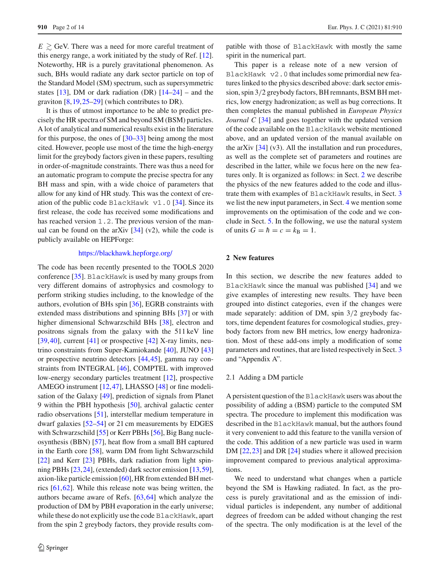$E \gtrsim$  GeV. There was a need for more careful treatment of this energy range, a work initiated by the study of Ref. [\[12](#page-11-9)]. Noteworthy, HR is a purely gravitational phenomenon. As such, BHs would radiate any dark sector particle on top of the Standard Model (SM) spectrum, such as supersymmetric states  $[13]$  $[13]$ , DM or dark radiation (DR)  $[14–24]$  $[14–24]$  – and the graviton [\[8](#page-11-12)[,19](#page-12-1)[,25](#page-12-2)[–29](#page-12-3)] (which contributes to DR).

It is thus of utmost importance to be able to predict precisely the HR spectra of SM and beyond SM (BSM) particles. A lot of analytical and numerical results exist in the literature for this purpose, the ones of [\[30](#page-12-4)[–33](#page-12-5)] being among the most cited. However, people use most of the time the high-energy limit for the greybody factors given in these papers, resulting in order-of-magnitude constraints. There was thus a need for an automatic program to compute the precise spectra for any BH mass and spin, with a wide choice of parameters that allow for any kind of HR study. This was the context of creation of the public code BlackHawk v1.0 [\[34\]](#page-12-6). Since its first release, the code has received some modifications and has reached version 1.2. The previous version of the manual can be found on the arXiv  $[34]$  (v2), while the code is publicly available on HEPForge:

## <https://blackhawk.hepforge.org/>

The code has been recently presented to the TOOLS 2020 conference [\[35](#page-12-7)]. BlackHawk is used by many groups from very different domains of astrophysics and cosmology to perform striking studies including, to the knowledge of the authors, evolution of BHs spin [\[36](#page-12-8)], EGRB constraints with extended mass distributions and spinning BHs [\[37\]](#page-12-9) or with higher dimensional Schwarzschild BHs [\[38](#page-12-10)], electron and positrons signals from the galaxy with the 511 keV line  $[39, 40]$  $[39, 40]$  $[39, 40]$ , current  $[41]$  or prospective  $[42]$  X-ray limits, neutrino constraints from Super-Kamiokande [\[40](#page-12-12)], JUNO [\[43\]](#page-12-15) or prospective neutrino detectors [\[44,](#page-12-16)[45\]](#page-12-17), gamma ray constraints from INTEGRAL [\[46\]](#page-12-18), COMPTEL with improved low-energy secondary particles treatment [\[12](#page-11-9)], prospective AMEGO instrument [\[12](#page-11-9),[47\]](#page-12-19), LHASSO [\[48](#page-12-20)] or fine modelisation of the Galaxy [\[49\]](#page-12-21), prediction of signals from Planet 9 within the PBH hypothesis [\[50](#page-12-22)], archival galactic center radio observations [\[51\]](#page-12-23), interstellar medium temperature in dwarf galaxies [\[52](#page-12-24)[–54\]](#page-12-25) or 21 cm measurements by EDGES with Schwarzschild [\[55\]](#page-12-26) or Kerr PBHs [\[56](#page-12-27)], Big Bang nucleosynthesis (BBN) [\[57](#page-12-28)], heat flow from a small BH captured in the Earth core [\[58\]](#page-12-29), warm DM from light Schwarzschild [\[22](#page-12-30)] and Kerr [\[23](#page-12-31)] PBHs, dark radiation from light spinning PBHs [\[23](#page-12-31)[,24](#page-12-0)], (extended) dark sector emission [\[13](#page-11-10)[,59](#page-13-0)], axion-like particle emission [\[60\]](#page-13-1), HR from extended BH metrics [\[61,](#page-13-2)[62\]](#page-13-3). While this release note was being written, the authors became aware of Refs. [\[63](#page-13-4)[,64\]](#page-13-5) which analyze the production of DM by PBH evaporation in the early universe; while these do not explicitly use the code BlackHawk, apart from the spin 2 greybody factors, they provide results com-

patible with those of BlackHawk with mostly the same spirit in the numerical part.

This paper is a release note of a new version of BlackHawk v2.0 that includes some primordial new features linked to the physics described above: dark sector emission, spin 3/2 greybody factors, BH remnants, BSM BH metrics, low energy hadronization; as well as bug corrections. It then completes the manual published in *European Physics Journal C* [\[34](#page-12-6)] and goes together with the updated version of the code available on the BlackHawk website mentioned above, and an updated version of the manual available on the arXiv [\[34\]](#page-12-6) (v3). All the installation and run procedures, as well as the complete set of parameters and routines are described in the latter, while we focus here on the new features only. It is organized as follows: in Sect. [2](#page-1-0) we describe the physics of the new features added to the code and illustrate them with examples of BlackHawk results, in Sect. [3](#page-7-0) we list the new input parameters, in Sect. [4](#page-8-0) we mention some improvements on the optimisation of the code and we conclude in Sect. [5.](#page-9-0) In the following, we use the natural system of units  $G = \hbar = c = k_B = 1$ .

## <span id="page-1-0"></span>**2 New features**

In this section, we describe the new features added to BlackHawk since the manual was published [\[34\]](#page-12-6) and we give examples of interesting new results. They have been grouped into distinct categories, even if the changes were made separately: addition of DM, spin 3/2 greybody factors, time dependent features for cosmological studies, greybody factors from new BH metrics, low energy hadronization. Most of these add-ons imply a modification of some parameters and routines, that are listed respectively in Sect. [3](#page-7-0) and "Appendix A".

#### <span id="page-1-1"></span>2.1 Adding a DM particle

A persistent question of the BlackHawk users was about the possibility of adding a (BSM) particle to the computed SM spectra. The procedure to implement this modification was described in the BlackHawk manual, but the authors found it very convenient to add this feature to the vanilla version of the code. This addition of a new particle was used in warm DM  $[22,23]$  $[22,23]$  $[22,23]$  and DR  $[24]$  $[24]$  studies where it allowed precision improvement compared to previous analytical approximations.

We need to understand what changes when a particle beyond the SM is Hawking radiated. In fact, as the process is purely gravitational and as the emission of individual particles is independent, any number of additional degrees of freedom can be added without changing the rest of the spectra. The only modification is at the level of the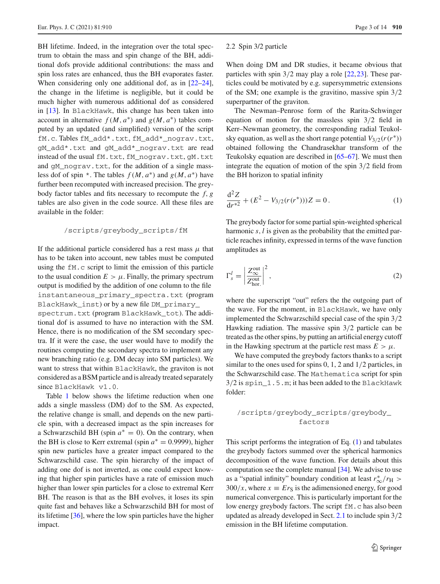BH lifetime. Indeed, in the integration over the total spectrum to obtain the mass and spin change of the BH, additional dofs provide additional contributions: the mass and spin loss rates are enhanced, thus the BH evaporates faster. When considering only one additional dof, as in  $[22-24]$  $[22-24]$ , the change in the lifetime is negligible, but it could be much higher with numerous additional dof as considered in [\[13\]](#page-11-10). In BlackHawk, this change has been taken into account in alternative  $f(M, a^*)$  and  $g(M, a^*)$  tables computed by an updated (and simplified) version of the script fM.c. Tables fM\_add\*.txt, fM\_add\*\_nograv.txt, gM\_add\*.txt and gM\_add\*\_nograv.txt are read instead of the usual fM.txt, fM\_nograv.txt, gM.txt and gM\_nograv.txt, for the addition of a single massless dof of spin  $*$ . The tables  $f(M, a^*)$  and  $g(M, a^*)$  have further been recomputed with increased precision. The greybody factor tables and fits necessary to recompute the *f*, *g* tables are also given in the code source. All these files are available in the folder:

#### /scripts/greybody\_scripts/fM

If the additional particle considered has a rest mass  $\mu$  that has to be taken into account, new tables must be computed using the fM.c script to limit the emission of this particle to the usual condition  $E > \mu$ . Finally, the primary spectrum output is modified by the addition of one column to the file instantaneous\_primary\_spectra.txt (program BlackHawk\_inst) or by a new file DM\_primary\_

spectrum.txt (program BlackHawk\_tot). The additional dof is assumed to have no interaction with the SM. Hence, there is no modification of the SM secondary spectra. If it were the case, the user would have to modify the routines computing the secondary spectra to implement any new branching ratio (e.g. DM decay into SM particles). We want to stress that within BlackHawk, the graviton is not considered as a BSM particle and is already treated separately since BlackHawk v1.0.

Table [1](#page-3-1) below shows the lifetime reduction when one adds a single massless (DM) dof to the SM. As expected, the relative change is small, and depends on the new particle spin, with a decreased impact as the spin increases for a Schwarzschild BH (spin  $a^* = 0$ ). On the contrary, when the BH is close to Kerr extremal (spin  $a^* = 0.9999$ ), higher spin new particles have a greater impact compared to the Schwarzschild case. The spin hierarchy of the impact of adding one dof is not inverted, as one could expect knowing that higher spin particles have a rate of emission much higher than lower spin particles for a close to extremal Kerr BH. The reason is that as the BH evolves, it loses its spin quite fast and behaves like a Schwarzschild BH for most of its lifetime [\[36\]](#page-12-8), where the low spin particles have the higher impact.

#### <span id="page-2-0"></span>2.2 Spin 3/2 particle

When doing DM and DR studies, it became obvious that particles with spin 3/2 may play a role [\[22](#page-12-30)[,23\]](#page-12-31). These particles could be motivated by e.g. supersymmetric extensions of the SM; one example is the gravitino, massive spin 3/2 superpartner of the graviton.

The Newman–Penrose form of the Rarita-Schwinger equation of motion for the massless spin 3/2 field in Kerr–Newman geometry, the corresponding radial Teukolsky equation, as well as the short range potential  $V_{3/2}(r(r^*))$ obtained following the Chandrasekhar transform of the Teukolsky equation are described in [\[65](#page-13-6)[–67](#page-13-7)]. We must then integrate the equation of motion of the spin 3/2 field from the BH horizon to spatial infinity

<span id="page-2-1"></span>
$$
\frac{\mathrm{d}^2 Z}{\mathrm{d}r^{*2}} + (E^2 - V_{3/2}(r(r^*)))Z = 0.
$$
 (1)

The greybody factor for some partial spin-weighted spherical harmonic *s*,*l* is given as the probability that the emitted particle reaches infinity, expressed in terms of the wave function amplitudes as

$$
\Gamma_s^l = \left| \frac{Z_{\infty}^{\text{out}}}{Z_{\text{hor.}}^{\text{out}}} \right|^2,\tag{2}
$$

where the superscript "out" refers the the outgoing part of the wave. For the moment, in BlackHawk, we have only implemented the Schwarzschild special case of the spin 3/2 Hawking radiation. The massive spin 3/2 particle can be treated as the other spins, by putting an artificial energy cutoff in the Hawking spectrum at the particle rest mass  $E > \mu$ .

We have computed the greybody factors thanks to a script similar to the ones used for spins 0, 1, 2 and 1/2 particles, in the Schwarzschild case. The Mathematica script for spin 3/2 is spin\_1.5.m; it has been added to the BlackHawk folder:

## /scripts/greybody\_scripts/greybody\_ factors

This script performs the integration of Eq. [\(1\)](#page-2-1) and tabulates the greybody factors summed over the spherical harmonics decomposition of the wave function. For details about this computation see the complete manual [\[34\]](#page-12-6). We advise to use as a "spatial infinity" boundary condition at least  $r^*_{\infty}/r_H >$  $300/x$ , where  $x \equiv E r<sub>S</sub>$  is the adimensioned energy, for good numerical convergence. This is particularly important for the low energy greybody factors. The script  $fM$ . c has also been updated as already developed in Sect. [2.1](#page-1-1) to include spin 3/2 emission in the BH lifetime computation.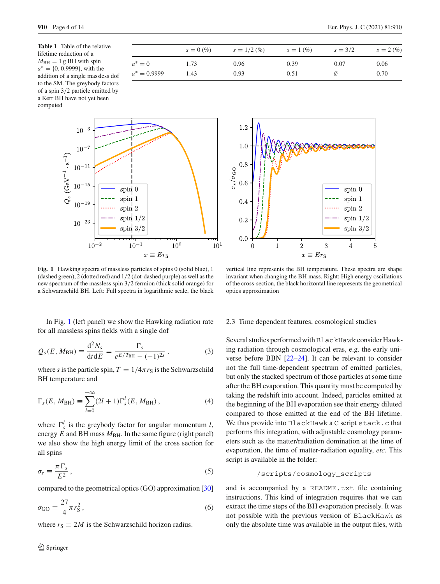<span id="page-3-1"></span>**Table 1** Table of the relative lifetime reduction of a  $M_{\rm BH} = 1$  g BH with spin *a*<sup>∗</sup> = {0, 0.9999}, with the addition of a single massless dof to the SM. The greybody factors of a spin 3/2 particle emitted by a Kerr BH have not yet been computed

*s* = 0 (%)  $s = 1/2$  (%)  $s = 1$  (%)  $s = 3/2$   $s = 2$  (%)  $a^* = 0$  1.73 0.96 0.39 0.07 0.06 *a*<sup>∗</sup> = 0.9999 1.43 0.93 0.51 Ø 0.70





<span id="page-3-2"></span>**Fig. 1** Hawking spectra of massless particles of spins 0 (solid blue), 1 (dashed green), 2 (dotted red) and 1/2 (dot-dashed purple) as well as the new spectrum of the massless spin 3/2 fermion (thick solid orange) for a Schwarzschild BH. Left: Full spectra in logarithmic scale, the black

vertical line represents the BH temperature. These spectra are shape invariant when changing the BH mass. Right: High energy oscillations of the cross-section, the black horizontal line represents the geometrical optics approximation

In Fig. [1](#page-3-2) (left panel) we show the Hawking radiation rate for all massless spins fields with a single dof

$$
Q_{s}(E, M_{\rm BH}) \equiv \frac{d^{2}N_{s}}{dt dE} = \frac{\Gamma_{s}}{e^{E/T_{\rm BH}} - (-1)^{2s}} ,
$$
 (3)

where *s* is the particle spin,  $T = 1/4\pi r_S$  is the Schwarzschild BH temperature and

$$
\Gamma_{s}(E, M_{\rm BH}) \equiv \sum_{l=0}^{+\infty} (2l+1) \Gamma_{s}^{l}(E, M_{\rm BH}), \qquad (4)
$$

where  $\Gamma_s^l$  is the greybody factor for angular momentum *l*, energy  $E$  and BH mass  $M_{BH}$ . In the same figure (right panel) we also show the high energy limit of the cross section for all spins

$$
\sigma_s \equiv \frac{\pi \Gamma_s}{E^2} \,, \tag{5}
$$

compared to the geometrical optics (GO) approximation [\[30\]](#page-12-4)

$$
\sigma_{\rm GO} \equiv \frac{27}{4} \pi r_{\rm S}^2 \,, \tag{6}
$$

where  $r_S \equiv 2M$  is the Schwarzschild horizon radius.

## <span id="page-3-0"></span>2.3 Time dependent features, cosmological studies

Several studies performed with BlackHawkconsider Hawking radiation through cosmological eras, e.g. the early universe before BBN [\[22](#page-12-30)[–24\]](#page-12-0). It can be relevant to consider not the full time-dependent spectrum of emitted particles, but only the stacked spectrum of those particles at some time after the BH evaporation. This quantity must be computed by taking the redshift into account. Indeed, particles emitted at the beginning of the BH evaporation see their energy diluted compared to those emitted at the end of the BH lifetime. We thus provide into BlackHawk a C script stack.c that performs this integration, with adjustable cosmology parameters such as the matter/radiation domination at the time of evaporation, the time of matter-radiation equality, *etc*. This script is available in the folder:

/scripts/cosmology\_scripts

and is accompanied by a README.txt file containing instructions. This kind of integration requires that we can extract the time steps of the BH evaporation precisely. It was not possible with the previous version of BlackHawk as only the absolute time was available in the output files, with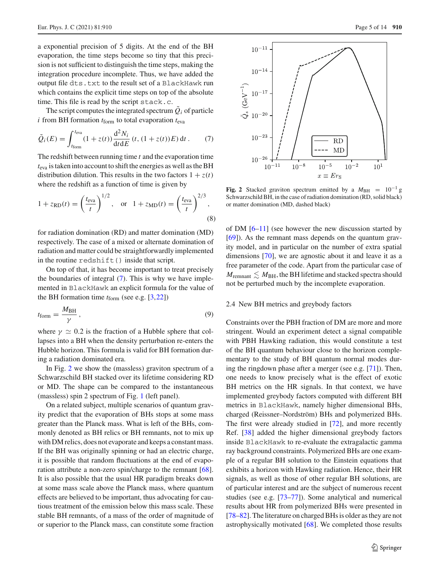a exponential precision of 5 digits. At the end of the BH evaporation, the time steps become so tiny that this precision is not sufficient to distinguish the time steps, making the integration procedure incomplete. Thus, we have added the output file dts.txt to the result set of a BlackHawk run which contains the explicit time steps on top of the absolute time. This file is read by the script stack.c.

The script computes the integrated spectrum  $\dot{Q}_i$  of particle  $i$  from BH formation  $t_{form}$  to total evaporation  $t_{eva}$ 

<span id="page-4-1"></span>
$$
\tilde{Q}_i(E) = \int_{t_{\text{form}}}^{t_{\text{eva}}}(1+z(t)) \frac{d^2 N_i}{dt dE} (t, (1+z(t))E) dt.
$$
 (7)

The redshift between running time *t* and the evaporation time *t*eva is taken into account to shift the energies as well as the BH distribution dilution. This results in the two factors  $1 + z(t)$ where the redshift as a function of time is given by

$$
1 + z_{RD}(t) = \left(\frac{t_{\text{eva}}}{t}\right)^{1/2}, \quad \text{or} \quad 1 + z_{MD}(t) = \left(\frac{t_{\text{eva}}}{t}\right)^{2/3},\tag{8}
$$

for radiation domination (RD) and matter domination (MD) respectively. The case of a mixed or alternate domination of radiation and matter could be straightforwardly implemented in the routine redshift() inside that script.

On top of that, it has become important to treat precisely the boundaries of integral [\(7\)](#page-4-1). This is why we have implemented in BlackHawk an explicit formula for the value of the BH formation time *t*form (see e.g. [\[3](#page-11-4),[22\]](#page-12-30))

<span id="page-4-3"></span>
$$
t_{\text{form}} = \frac{M_{\text{BH}}}{\gamma},\tag{9}
$$

where  $\gamma \simeq 0.2$  is the fraction of a Hubble sphere that collapses into a BH when the density perturbation re-enters the Hubble horizon. This formula is valid for BH formation during a radiation dominated era.

In Fig. [2](#page-4-2) we show the (massless) graviton spectrum of a Schwarzschild BH stacked over its lifetime considering RD or MD. The shape can be compared to the instantaneous (massless) spin 2 spectrum of Fig. [1](#page-3-2) (left panel).

On a related subject, multiple scenarios of quantum gravity predict that the evaporation of BHs stops at some mass greater than the Planck mass. What is left of the BHs, commonly denoted as BH relics or BH remnants, not to mix up with DM relics, does not evaporate and keeps a constant mass. If the BH was originally spinning or had an electric charge, it is possible that random fluctuations at the end of evaporation attribute a non-zero spin/charge to the remnant [\[68](#page-13-8)]. It is also possible that the usual HR paradigm breaks down at some mass scale above the Planck mass, where quantum effects are believed to be important, thus advocating for cautious treatment of the emission below this mass scale. These stable BH remnants, of a mass of the order of magnitude of or superior to the Planck mass, can constitute some fraction



<span id="page-4-2"></span>**Fig. 2** Stacked graviton spectrum emitted by a  $M_{\text{BH}} = 10^{-1}$  g Schwarzschild BH, in the case of radiation domination (RD, solid black) or matter domination (MD, dashed black)

of DM [\[6](#page-11-7)[–11\]](#page-11-8) (see however the new discussion started by [\[69](#page-13-9)]). As the remnant mass depends on the quantum gravity model, and in particular on the number of extra spatial dimensions [\[70](#page-13-10)], we are agnostic about it and leave it as a free parameter of the code. Apart from the particular case of  $M_{\text{remnant}} \leq M_{\text{BH}}$ , the BH lifetime and stacked spectra should not be perturbed much by the incomplete evaporation.

#### <span id="page-4-0"></span>2.4 New BH metrics and greybody factors

Constraints over the PBH fraction of DM are more and more stringent. Would an experiment detect a signal compatible with PBH Hawking radiation, this would constitute a test of the BH quantum behaviour close to the horizon complementary to the study of BH quantum normal modes during the ringdown phase after a merger (see e.g. [\[71\]](#page-13-11)). Then, one needs to know precisely what is the effect of exotic BH metrics on the HR signals. In that context, we have implemented greybody factors computed with different BH metrics in BlackHawk, namely higher dimensional BHs, charged (Reissner–Nordström) BHs and polymerized BHs. The first were already studied in [\[72\]](#page-13-12), and more recently Ref. [\[38\]](#page-12-10) added the higher dimensional greybody factors inside BlackHawk to re-evaluate the extragalactic gamma ray background constraints. Polymerized BHs are one example of a regular BH solution to the Einstein equations that exhibits a horizon with Hawking radiation. Hence, their HR signals, as well as those of other regular BH solutions, are of particular interest and are the subject of numerous recent studies (see e.g. [\[73](#page-13-13)[–77](#page-13-14)]). Some analytical and numerical results about HR from polymerized BHs were presented in [\[78](#page-13-15)[–82](#page-13-16)]. The literature on charged BHs is older as they are not astrophysically motivated [\[68](#page-13-8)]. We completed those results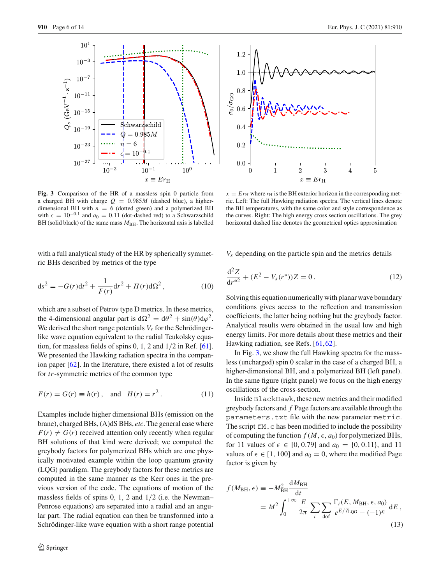$Q_s \, (GeV^{-1} \cdot s^{-1})$ 

 $10^{1}$ 

 $10^{-3}$ 

 $10^{-7}$ 

 $10^{-11}$ 

 $10^{-15}$ 

 $10^{-19}$ 

 $10^{-23}$ 

 $10^{-}$ 



 $10^{0}$ 

<span id="page-5-0"></span>**Fig. 3** Comparison of the HR of a massless spin 0 particle from a charged BH with charge  $Q = 0.985M$  (dashed blue), a higherdimensional BH with  $n = 6$  (dotted green) and a polymerized BH with  $\epsilon = 10^{-0.1}$  and  $a_0 = 0.11$  (dot-dashed red) to a Schwarzschild BH (solid black) of the same mass  $M_{\text{BH}}$ . The horizontal axis is labelled

 $10$ 

 $Q = 0.985M$  $= 6$  $\overline{n}$ 

 $10<sup>°</sup>$ 

 $x \equiv Er_H$ 

 $=10$ 

with a full analytical study of the HR by spherically symmetric BHs described by metrics of the type

$$
ds^{2} = -G(r)dt^{2} + \frac{1}{F(r)}dr^{2} + H(r)d\Omega^{2},
$$
\n(10)

which are a subset of Petrov type D metrics. In these metrics, the 4-dimensional angular part is  $d\Omega^2 = d\theta^2 + \sin(\theta) d\varphi^2$ . We derived the short range potentials  $V_s$  for the Schrödingerlike wave equation equivalent to the radial Teukolsky equation, for massless fields of spins 0, 1, 2 and 1/2 in Ref. [\[61](#page-13-2)]. We presented the Hawking radiation spectra in the companion paper [\[62](#page-13-3)]. In the literature, there existed a lot of results for *tr*-symmetric metrics of the common type

$$
F(r) = G(r) \equiv h(r)
$$
, and  $H(r) = r^2$ . (11)

Examples include higher dimensional BHs (emission on the brane), charged BHs, (A)dS BHs, *etc*. The general case where  $F(r) \neq G(r)$  received attention only recently when regular BH solutions of that kind were derived; we computed the greybody factors for polymerized BHs which are one physically motivated example within the loop quantum gravity (LQG) paradigm. The greybody factors for these metrics are computed in the same manner as the Kerr ones in the previous version of the code. The equations of motion of the massless fields of spins 0, 1, 2 and 1/2 (i.e. the Newman– Penrose equations) are separated into a radial and an angular part. The radial equation can then be transformed into a Schrödinger-like wave equation with a short range potential



 $x \equiv E r_H$  where  $r_H$  is the BH exterior horizon in the corresponding metric. Left: The full Hawking radiation spectra. The vertical lines denote the BH temperatures, with the same color and style correspondence as the curves. Right: The high energy cross section oscillations. The grey horizontal dashed line denotes the geometrical optics approximation

*Vs* depending on the particle spin and the metrics details

$$
\frac{\mathrm{d}^2 Z}{\mathrm{d}r^{*2}} + (E^2 - V_s(r^*))Z = 0.
$$
 (12)

Solving this equation numerically with planar wave boundary conditions gives access to the reflection and transmission coefficients, the latter being nothing but the greybody factor. Analytical results were obtained in the usual low and high energy limits. For more details about these metrics and their Hawking radiation, see Refs. [\[61](#page-13-2)[,62](#page-13-3)].

In Fig. [3,](#page-5-0) we show the full Hawking spectra for the massless (uncharged) spin 0 scalar in the case of a charged BH, a higher-dimensional BH, and a polymerized BH (left panel). In the same figure (right panel) we focus on the high energy oscillations of the cross-section.

Inside BlackHawk, these new metrics and their modified greybody factors and *f* Page factors are available through the parameters.txt file with the new parameter metric. The script  $fM.c$  has been modified to include the possibility of computing the function  $f(M, \epsilon, a_0)$  for polymerized BHs, for 11 values of  $\epsilon \in [0, 0.79]$  and  $a_0 = \{0, 0.11\}$ , and 11 values of  $\epsilon \in [1, 100]$  and  $a_0 = 0$ , where the modified Page factor is given by

$$
f(M_{\rm BH}, \epsilon) \equiv -M_{\rm BH}^2 \frac{dM_{\rm BH}}{dt}
$$
  
= 
$$
M^2 \int_0^{+\infty} \frac{E}{2\pi} \sum_i \sum_{\rm dof} \frac{\Gamma_i(E, M_{\rm BH}, \epsilon, a_0)}{e^{E/T_{\rm LQG}} - (-1)^{s_i}} dE,
$$
 (13)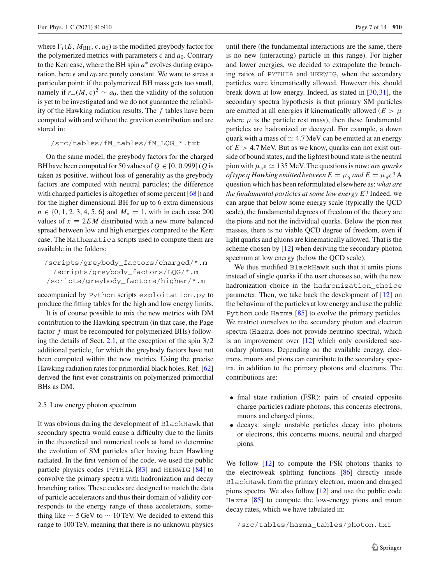where  $\Gamma_i(E, M_{\text{BH}}, \epsilon, a_0)$  is the modified greybody factor for the polymerized metrics with parameters  $\epsilon$  and  $a_0$ . Contrary to the Kerr case, where the BH spin *a*∗ evolves during evaporation, here  $\epsilon$  and  $a_0$  are purely constant. We want to stress a particular point: if the polymerized BH mass gets too small, namely if  $r_+(M, \epsilon)^2 \sim a_0$ , then the validity of the solution is yet to be investigated and we do not guarantee the reliability of the Hawking radiation results. The *f* tables have been computed with and without the graviton contribution and are stored in:

$$
/src / tables / fM\_tables / fM_LQG_* .txt
$$

On the same model, the greybody factors for the charged BH have been computed for 50 values of  $Q \in [0, 0.999]$  (*Q* is taken as positive, without loss of generality as the greybody factors are computed with neutral particles; the difference with charged particles is altogether of some percent [\[68](#page-13-8)]) and for the higher dimensional BH for up to 6 extra dimensions *n* ∈ {0, 1, 2, 3, 4, 5, 6} and *M*<sub>\*</sub> = 1, with in each case 200 values of  $x \equiv 2EM$  distributed with a new more balanced spread between low and high energies compared to the Kerr case. The Mathematica scripts used to compute them are available in the folders:

/scripts/greybody\_factors/charged/\*.m /scripts/greybody\_factors/LQG/\*.m /scripts/greybody\_factors/higher/\*.m

accompanied by Python scripts exploitation.py to produce the fitting tables for the high and low energy limits.

It is of course possible to mix the new metrics with DM contribution to the Hawking spectrum (in that case, the Page factor *f* must be recomputed for polymerized BHs) follow-ing the details of Sect. [2.1,](#page-1-1) at the exception of the spin  $3/2$ additional particle, for which the greybody factors have not been computed within the new metrics. Using the precise Hawking radiation rates for primordial black holes, Ref. [\[62\]](#page-13-3) derived the first ever constraints on polymerized primordial BHs as DM.

#### <span id="page-6-0"></span>2.5 Low energy photon spectrum

It was obvious during the development of BlackHawk that secondary spectra would cause a difficulty due to the limits in the theoretical and numerical tools at hand to determine the evolution of SM particles after having been Hawking radiated. In the first version of the code, we used the public particle physics codes PYTHIA [\[83\]](#page-13-17) and HERWIG [\[84\]](#page-13-18) to convolve the primary spectra with hadronization and decay branching ratios. These codes are designed to match the data of particle accelerators and thus their domain of validity corresponds to the energy range of these accelerators, something like  $\sim$  5 GeV to  $\sim$  10 TeV. We decided to extend this range to 100 TeV, meaning that there is no unknown physics

until there (the fundamental interactions are the same, there is no new (interacting) particle in this range). For higher and lower energies, we decided to extrapolate the branching ratios of PYTHIA and HERWIG, when the secondary particles were kinematically allowed. However this should break down at low energy. Indeed, as stated in [\[30](#page-12-4)[,31](#page-12-32)], the secondary spectra hypothesis is that primary SM particles are emitted at all energies if kinematically allowed ( $E > \mu$ ) where  $\mu$  is the particle rest mass), then these fundamental particles are hadronized or decayed. For example, a down quark with a mass of  $\simeq 4.7$  MeV can be emitted at an energy of *E* > 4.7 MeV. But as we know, quarks can not exist outside of bound states, and the lightest bound state is the neutral pion with  $\mu_{\pi^0} \simeq 135$  MeV. The questions is now: *are quarks of type q Hawking emitted between*  $E = \mu_q$  *and*  $E = \mu_{\pi^0}$ ? A question which has been reformulated elsewhere as: *what are the fundamental particles at some low energy E*? Indeed, we can argue that below some energy scale (typically the QCD scale), the fundamental degrees of freedom of the theory are the pions and not the individual quarks. Below the pion rest masses, there is no viable QCD degree of freedom, even if light quarks and gluons are kinematically allowed. That is the scheme chosen by [\[12](#page-11-9)] when deriving the secondary photon spectrum at low energy (below the QCD scale).

We thus modified BlackHawk such that it emits pions instead of single quarks if the user chooses so, with the new hadronization choice in the hadronization\_choice parameter. Then, we take back the development of [\[12\]](#page-11-9) on the behaviour of the particles at low energy and use the public Python code Hazma [\[85\]](#page-13-19) to evolve the primary particles. We restrict ourselves to the secondary photon and electron spectra (Hazma does not provide neutrino spectra), which is an improvement over [\[12\]](#page-11-9) which only considered secondary photons. Depending on the available energy, electrons, muons and pions can contribute to the secondary spectra, in addition to the primary photons and electrons. The contributions are:

- final state radiation (FSR): pairs of created opposite charge particles radiate photons, this concerns electrons, muons and charged pions;
- decays: single unstable particles decay into photons or electrons, this concerns muons, neutral and charged pions.

We follow [\[12](#page-11-9)] to compute the FSR photons thanks to the electroweak splitting functions [\[86](#page-13-20)] directly inside BlackHawk from the primary electron, muon and charged pions spectra. We also follow [\[12\]](#page-11-9) and use the public code Hazma [\[85\]](#page-13-19) to compute the low-energy pions and muon decay rates, which we have tabulated in:

/src/tables/hazma\_tables/photon.txt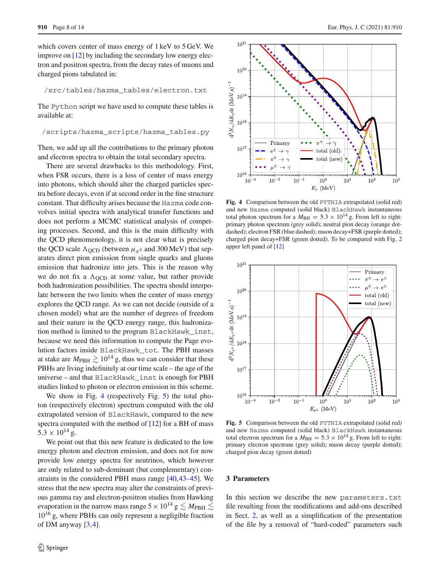which covers center of mass energy of 1 keV to 5 GeV. We improve on [\[12](#page-11-9)] by including the secondary low energy electron and positron spectra, from the decay rates of muons and charged pions tabulated in:

/src/tables/hazma\_tables/electron.txt

The Python script we have used to compute these tables is available at:

/scripts/hazma\_scripts/hazma\_tables.py

Then, we add up all the contributions to the primary photon and electron spectra to obtain the total secondary spectra.

There are several drawbacks to this methodology. First, when FSR occurs, there is a loss of center of mass energy into photons, which should alter the charged particles spectra before decays, even if at second order in the fine structure constant. That difficulty arises because the Hazma code convolves initial spectra with analytical transfer functions and does not perform a MCMC statistical analysis of competing processes. Second, and this is the main difficulty with the QCD phenomenology, it is not clear what is precisely the QCD scale  $\Lambda_{\text{QCD}}$  (between  $\mu_{\pi^0}$  and 300 MeV) that separates direct pion emission from single quarks and gluons emission that hadronize into jets. This is the reason why we do not fix a  $\Lambda_{\text{OCD}}$  at some value, but rather provide both hadronization possibilities. The spectra should interpolate between the two limits when the center of mass energy explores the QCD range. As we can not decide (outside of a chosen model) what are the number of degrees of freedom and their nature in the QCD energy range, this hadronization method is limited to the program BlackHawk\_inst, because we need this information to compute the Page evolution factors inside BlackHawk\_tot. The PBH masses at stake are  $M_{\rm PBH} \gtrsim 10^{14}$  g, thus we can consider that these PBHs are living indefinitely at our time scale – the age of the universe – and that BlackHawk\_inst is enough for PBH studies linked to photon or electron emission in this scheme.

We show in Fig. [4](#page-7-1) (respectively Fig. [5\)](#page-7-2) the total photon (respectively electron) spectrum computed with the old extrapolated version of BlackHawk, compared to the new spectra computed with the method of [\[12](#page-11-9)] for a BH of mass  $5.3 \times 10^{14}$  g.

We point out that this new feature is dedicated to the low energy photon and electron emission, and does not for now provide low energy spectra for neutrinos, which however are only related to sub-dominant (but complementary) constraints in the considered PBH mass range [\[40](#page-12-12)[,43](#page-12-15)[–45](#page-12-17)]. We stress that the new spectra may alter the constraints of previous gamma ray and electron-positron studies from Hawking evaporation in the narrow mass range  $5 \times 10^{14}$  g  $\lesssim M_{\rm PBH} \lesssim$ 10<sup>16</sup> g, where PBHs can only represent a negligible fraction of DM anyway  $[3,4]$  $[3,4]$  $[3,4]$ .



<span id="page-7-1"></span>**Fig. 4** Comparison between the old PYTHIA extrapolated (solid red) and new Hazma computed (solid black) BlackHawk instantaneous total photon spectrum for a  $M_{\text{BH}} = 5.3 \times 10^{14}$  g. From left to right: primary photon spectrum (grey solid); neutral pion decay (orange dotdashed); electron FSR (blue dashed); muon decay+FSR (purple dotted); charged pion decay+FSR (green dotted). To be compared with Fig. [2](#page-4-2) upper left panel of [\[12\]](#page-11-9)



<span id="page-7-2"></span>**Fig. 5** Comparison between the old PYTHIA extrapolated (solid red) and new Hazma computed (solid black) BlackHawk instantaneous total electron spectrum for a  $M_{\text{BH}} = 5.3 \times 10^{14}$  g. From left to right: primary electron spectrum (grey solid); muon decay (purple dotted); charged pion decay (green dotted)

#### <span id="page-7-0"></span>**3 Parameters**

In this section we describe the new parameters.txt file resulting from the modifications and add-ons described in Sect. [2,](#page-1-0) as well as a simplification of the presentation of the file by a removal of "hard-coded" parameters such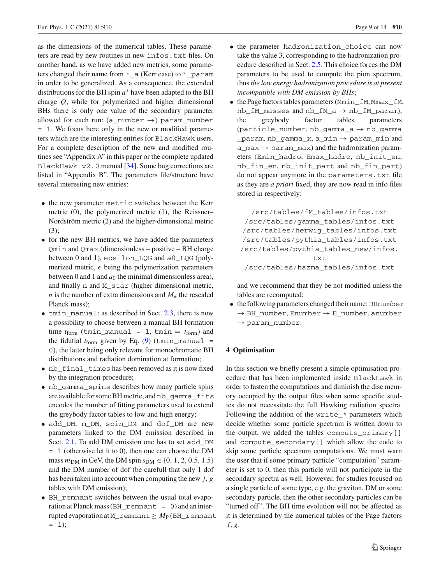as the dimensions of the numerical tables. These parameters are read by new routines in new infos.txt files. On another hand, as we have added new metrics, some parameters changed their name from  $*_{a}$  (Kerr case) to  $*_{a}$  param in order to be generalized. As a consequence, the extended distributions for the BH spin *a*∗ have been adapted to the BH charge *Q*, while for polymerized and higher dimensional BHs there is only one value of the secondary parameter allowed for each run:  $(a_{\text{number}} \rightarrow)$  param\_number = 1. We focus here only in the new or modified parameters which are the interesting entries for BlackHawk users. For a complete description of the new and modified routines see "Appendix A" in this paper or the complete updated BlackHawk v2.0 manual [\[34](#page-12-6)]. Some bug corrections are listed in "Appendix B". The parameters file/structure have several interesting new entries:

- the new parameter metric switches between the Kerr metric (0), the polymerized metric (1), the Reissner– Nordström metric (2) and the higher-dimensional metric (3);
- for the new BH metrics, we have added the parameters Qmin and Qmax (dimensionless – positive – BH charge between 0 and 1), epsilon\_LQG and a0\_LQG (polymerized metric,  $\epsilon$  being the polymerization parameters between 0 and 1 and  $a_0$  the minimal dimensionless area), and finally n and M\_star (higher dimensional metric, *n* is the number of extra dimensions and  $M<sub>∗</sub>$  the rescaled Planck mass);
- tmin\_manual: as described in Sect. [2.3,](#page-3-0) there is now a possibility to choose between a manual BH formation time  $t_{\text{form}}$  (tmin\_manual = 1, tmin =  $t_{\text{form}}$ ) and the fidutial  $t_{\text{form}}$  given by Eq. [\(9\)](#page-4-3) (tmin\_manual = 0), the latter being only relevant for monochromatic BH distributions and radiation domination at formation;
- nb\_final\_times has been removed as it is now fixed by the integration procedure;
- nb\_gamma\_spins describes how many particle spins are available for some BH metric, and nb\_gamma\_fits encodes the number of fitting parameters used to extend the greybody factor tables to low and high energy;
- add\_DM, m\_DM, spin\_DM and dof\_DM are new parameters linked to the DM emission described in Sect. [2.1.](#page-1-1) To add DM emission one has to set add\_DM = 1 (otherwise let it to 0), then one can choose the DM mass  $m_{DM}$  in GeV, the DM spin  $s_{DM} \in \{0, 1, 2, 0.5, 1.5\}$ and the DM number of dof (be carefull that only 1 dof has been taken into account when computing the new *f*, *g* tables with DM emission);
- BH\_remnant switches between the usual total evaporation at Planck mass (BH\_remnant = 0) and an interrupted evaporation at M\_remnant≥ *M*<sup>P</sup> (BH\_remnant  $= 1$ ;
- the parameter hadronization choice can now take the value 3, corresponding to the hadronization procedure described in Sect. [2.5.](#page-6-0) This choice forces the DM parameters to be used to compute the pion spectrum, thus*the low energy hadronization procedure is at present incompatible with DM emission by BHs*;
- the Page factors tables parameters (Mmin\_fM,Mmax\_fM,  $nb_fM\_masses$  and  $nb_fM_a \rightarrow nb_fM\_param$ ,<br>the greybody factor tables parameters parameters (particle\_number, nb\_gamma\_a → nb\_gamma  $parrow, nb_gamma_x, a_min \rightarrow param_m$ in and a\_max  $\rightarrow$  param\_max) and the hadronization parameters (Emin\_hadro, Emax\_hadro, nb\_init\_en, nb\_fin\_en, nb\_init\_part and nb\_fin\_part) do not appear anymore in the parameters.txt file as they are *a priori* fixed, they are now read in info files stored in respectively:

/src/tables/fM\_tables/infos.txt /src/tables/gamma\_tables/infos.txt /src/tables/herwig\_tables/infos.txt /src/tables/pythia\_tables/infos.txt /src/tables/pythia\_tables\_new/infos. txt /src/tables/hazma\_tables/infos.txt

and we recommend that they be not modified unless the tables are recomputed;

• the following parameters changed their name: BHnumber  $\rightarrow$  BH\_number, Enumber  $\rightarrow$  E\_number, anumber  $\rightarrow$  param\_number.

#### <span id="page-8-0"></span>**4 Optimisation**

In this section we briefly present a simple optimisation procedure that has been implemented inside BlackHawk in order to fasten the computations and diminish the disc memory occupied by the output files when some specific studies do not necessitate the full Hawking radiation spectra. Following the addition of the write\_\* parameters which decide whether some particle spectrum is written down to the output, we added the tables compute\_primary[] and compute\_secondary[] which allow the code to skip some particle spectrum computations. We must warn the user that if some primary particle "computation" parameter is set to 0, then this particle will not participate in the secondary spectra as well. However, for studies focused on a single particle of some type, e.g. the graviton, DM or some secondary particle, then the other secondary particles can be "turned off". The BH time evolution will not be affected as it is determined by the numerical tables of the Page factors *f*, *g*.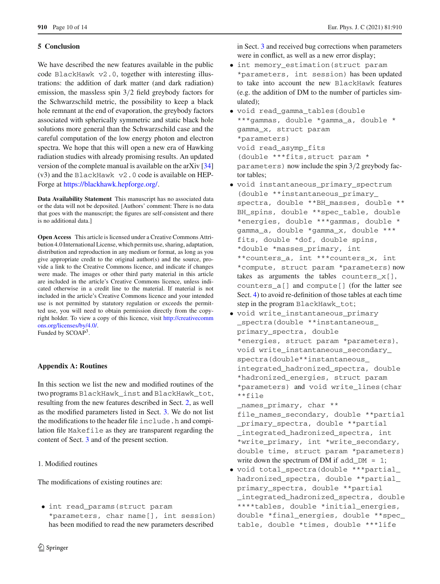# <span id="page-9-0"></span>**5 Conclusion**

We have described the new features available in the public code BlackHawk v2.0, together with interesting illustrations: the addition of dark matter (and dark radiation) emission, the massless spin 3/2 field greybody factors for the Schwarzschild metric, the possibility to keep a black hole remnant at the end of evaporation, the greybody factors associated with spherically symmetric and static black hole solutions more general than the Schwarzschild case and the careful computation of the low energy photon and electron spectra. We hope that this will open a new era of Hawking radiation studies with already promising results. An updated version of the complete manual is available on the arXiv [\[34\]](#page-12-6)  $(v3)$  and the BlackHawk  $v2.0$  code is available on HEP-Forge at [https://blackhawk.hepforge.org/.](https://blackhawk.hepforge.org/)

**Data Availability Statement** This manuscript has no associated data or the data will not be deposited. [Authors' comment: There is no data that goes with the manuscript; the figures are self-consistent and there is no additional data.]

**Open Access** This article is licensed under a Creative Commons Attribution 4.0 International License, which permits use, sharing, adaptation, distribution and reproduction in any medium or format, as long as you give appropriate credit to the original author(s) and the source, provide a link to the Creative Commons licence, and indicate if changes were made. The images or other third party material in this article are included in the article's Creative Commons licence, unless indicated otherwise in a credit line to the material. If material is not included in the article's Creative Commons licence and your intended use is not permitted by statutory regulation or exceeds the permitted use, you will need to obtain permission directly from the copyright holder. To view a copy of this licence, visit [http://creativecomm](http://creativecommons.org/licenses/by/4.0/) [ons.org/licenses/by/4.0/.](http://creativecommons.org/licenses/by/4.0/) Funded by SCOAP<sup>3</sup>.

## <span id="page-9-1"></span>**Appendix A: Routines**

In this section we list the new and modified routines of the two programs BlackHawk\_inst and BlackHawk\_tot, resulting from the new features described in Sect. [2,](#page-1-0) as well as the modified parameters listed in Sect. [3.](#page-7-0) We do not list the modifications to the header file include.h and compilation file Makefile as they are transparent regarding the content of Sect. [3](#page-7-0) and of the present section.

<span id="page-9-2"></span>1. Modified routines

The modifications of existing routines are:

• int read\_params(struct param \*parameters, char name[], int session) has been modified to read the new parameters described

in Sect. [3](#page-7-0) and received bug corrections when parameters were in conflict, as well as a new error display;

- int memory estimation(struct param \*parameters, int session) has been updated to take into account the new BlackHawk features (e.g. the addition of DM to the number of particles simulated);
- void read gamma tables(double \*\*\*gammas, double \*gamma\_a, double \* gamma\_x, struct param \*parameters) void read\_asymp\_fits (double \*\*\*fits,struct param \* parameters) now include the spin 3/2 greybody factor tables;
- void instantaneous\_primary\_spectrum (double \*\*instantaneous\_primary\_ spectra, double \*\*BH\_masses, double \*\* BH\_spins, double \*\*spec\_table, double \*energies, double \*\*\*gammas, double \* gamma\_a, double \*gamma\_x, double \*\*\* fits, double \*dof, double spins, \*double \*masses\_primary, int \*\*counters\_a, int \*\*\*counters\_x, int \*compute, struct param \*parameters)now takes as arguments the tables counters\_x[], counters\_a[] and compute[] (for the latter see Sect. [4\)](#page-8-0) to avoid re-definition of those tables at each time step in the program BlackHawk\_tot;
- void write\_instantaneous\_primary \_spectra(double \*\*instantaneous\_ primary\_spectra, double \*energies, struct param \*parameters), void write\_instantaneous\_secondary\_ spectra(double\*\*instantaneous\_ integrated\_hadronized\_spectra, double \*hadronized\_energies, struct param \*parameters) and void write\_lines(char \*\*file

\_names\_primary, char \*\*

- file\_names\_secondary, double \*\*partial \_primary\_spectra, double \*\*partial \_integrated\_hadronized\_spectra, int \*write\_primary, int \*write\_secondary, double time, struct param \*parameters) write down the spectrum of DM if add  $DM = 1$ ;
- void total\_spectra(double \*\*\*partial\_ hadronized\_spectra, double \*\*partial\_ primary\_spectra, double \*\*partial \_integrated\_hadronized\_spectra, double \*\*\*\*tables, double \*initial\_energies, double \*final\_energies, double \*\*spec\_ table, double \*times, double \*\*\*life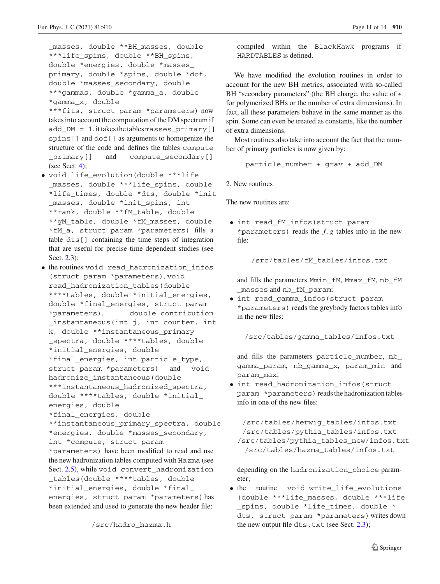masses, double \*\*BH masses, double \*\*\*life\_spins, double \*\*BH\_spins, double \*energies, double \*masses\_ primary, double \*spins, double \*dof, double \*masses\_secondary, double \*\*\*gammas, double \*gamma\_a, double \*gamma\_x, double \*\*\*fits, struct param \*parameters) now takes into account the computation of the DM spectrum if add\_DM = 1, it takes the tablesmasses\_primary[] spins[] and dof[] as arguments to homogenize the structure of the code and defines the tables compute primary[] and compute secondary[] (see Sect. [4\)](#page-8-0);

- void life evolution(double \*\*\*life \_masses, double \*\*\*life\_spins, double \*life\_times, double \*dts, double \*init \_masses, double \*init\_spins, int \*\*rank, double \*\*fM\_table, double \*\*gM\_table, double \*fM\_masses, double \*fM\_a, struct param \*parameters) fills a table dts[] containing the time steps of integration that are useful for precise time dependent studies (see Sect. [2.3\)](#page-3-0);
- the routines void read\_hadronization\_infos (struct param \*parameters), void read\_hadronization\_tables(double \*\*\*\*tables, double \*initial energies, double \*final\_energies, struct param \*parameters), double contribution \_instantaneous(int j, int counter, int k, double \*\*instantaneous\_primary \_spectra, double \*\*\*\*tables, double \*initial\_energies, double \*final\_energies, int particle\_type, struct param \*parameters) and void hadronize\_instantaneous(double \*\*\*instantaneous\_hadronized\_spectra, double \*\*\*\*tables, double \*initial\_ energies, double \*final\_energies, double \*\*instantaneous\_primary\_spectra, double \*energies, double \*masses\_secondary, int \*compute, struct param \*parameters) have been modified to read and use the new hadronization tables computed with Hazma (see Sect. [2.5\)](#page-6-0), while void convert\_hadronization \_tables(double \*\*\*\*tables, double \*initial\_energies, double \*final\_ energies, struct param \*parameters)has been extended and used to generate the new header file:

/src/hadro\_hazma.h

compiled within the BlackHawk programs if HARDTABLES is defined.

We have modified the evolution routines in order to account for the new BH metrics, associated with so-called BH "secondary parameters" (the BH charge, the value of  $\epsilon$ for polymerized BHs or the number of extra dimensions). In fact, all these parameters behave in the same manner as the spin. Some can even be treated as constants, like the number of extra dimensions.

Most routines also take into account the fact that the number of primary particles is now given by:

particle\_number + grav + add\_DM

<span id="page-10-0"></span>2. New routines

The new routines are:

• int read fM infos(struct param \*parameters) reads the  $f$ ,  $g$  tables info in the new file:

/src/tables/fM\_tables/infos.txt

and fills the parameters Mmin\_fM, Mmax\_fM, nb\_fM \_masses and nb\_fM\_param;

• int read\_gamma\_infos(struct param \*parameters) reads the greybody factors tables info in the new files:

/src/tables/gamma\_tables/infos.txt

and fills the parameters particle\_number, nb\_ gamma\_param, nb\_gamma\_x, param\_min and param\_max;

• int read\_hadronization\_infos(struct param \*parameters) reads the hadronization tables info in one of the new files:

/src/tables/herwig\_tables/infos.txt /src/tables/pythia\_tables/infos.txt /src/tables/pythia\_tables\_new/infos.txt /src/tables/hazma\_tables/infos.txt

depending on the hadronization\_choice parameter;

• the routine void write life evolutions (double \*\*\*life\_masses, double \*\*\*life \_spins, double \*life\_times, double \* dts, struct param \*parameters)writes down the new output file dts.txt (see Sect.  $2.3$ );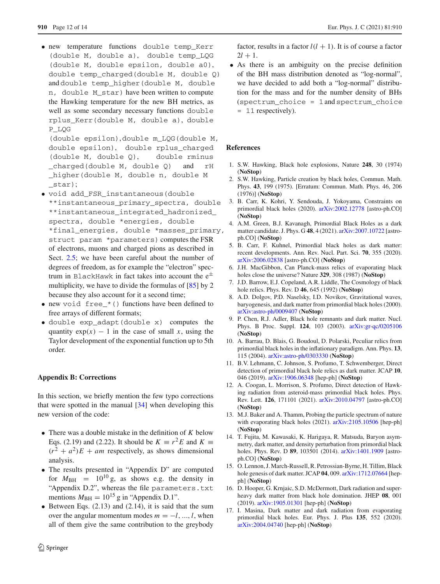• new temperature functions double temp\_Kerr (double M, double a), double temp\_LQG (double M, double epsilon, double a0), double temp charged(double M, double 0) and double temp\_higher(double M, double n, double M\_star) have been written to compute the Hawking temperature for the new BH metrics, as well as some secondary necessary functions double rplus\_Kerr(double M, double a), double P\_LQG

(double epsilon),double m\_LQG(double M, double epsilon), double rplus\_charged (double M, double Q), double rminus \_charged(double M, double Q) and rH \_higher(double M, double n, double M \_star);

• void add\_FSR\_instantaneous(double

\*\*instantaneous\_primary\_spectra, double \*\*instantaneous\_integrated\_hadronized\_ spectra, double \*energies, double \*final\_energies, double \*masses\_primary, struct param \*parameters) computes the FSR of electrons, muons and charged pions as described in Sect. [2.5;](#page-6-0) we have been careful about the number of degrees of freedom, as for example the "electron" spectrum in BlackHawk in fact takes into account the  $e^{\pm}$ multiplicity, we have to divide the formulas of [\[85\]](#page-13-19) by 2 because they also account for it a second time;

- new void free\_\*() functions have been defined to free arrays of different formats;
- double exp\_adapt(double x) computes the quantity  $exp(x) - 1$  in the case of small *x*, using the Taylor development of the exponential function up to 5th order.

## <span id="page-11-0"></span>**Appendix B: Corrections**

In this section, we briefly mention the few typo corrections that were spotted in the manual  $[34]$  $[34]$  when developing this new version of the code:

- There was a double mistake in the definition of *K* below Eqs. (2.19) and (2.22). It should be  $K \equiv r^2 E$  and  $K \equiv$  $(r^2 + a^2)E + am$  respectively, as shows dimensional analysis.
- The results presented in "Appendix D" are computed for  $M_{\text{BH}}$  =  $10^{10}$  g, as shows e.g. the density in "Appendix D.2", whereas the file parameters.txt mentions  $M_{\text{BH}} = 10^{15}$  g in "Appendix D.1".
- Between Eqs.  $(2.13)$  and  $(2.14)$ , it is said that the sum over the angular momentum modes  $m = -l, ..., l$ , when all of them give the same contribution to the greybody

factor, results in a factor  $l(l + 1)$ . It is of course a factor  $2l + 1$ .

• As there is an ambiguity on the precise definition of the BH mass distribution denoted as "log-normal", we have decided to add both a "log-normal" distribution for the mass and for the number density of BHs (spectrum\_choice = 1and spectrum\_choice = 11 respectively).

## <span id="page-11-1"></span>**References**

- <span id="page-11-2"></span>1. S.W. Hawking, Black hole explosions, Nature **248**, 30 (1974) (**NoStop**)
- <span id="page-11-3"></span>2. S.W. Hawking, Particle creation by black holes, Commun. Math. Phys. **43**, 199 (1975). [Erratum: Commun. Math. Phys. 46, 206 (1976)] (**NoStop**)
- <span id="page-11-4"></span>3. B. Carr, K. Kohri, Y. Sendouda, J. Yokoyama, Constraints on primordial black holes (2020). [arXiv:2002.12778](http://arxiv.org/abs/2002.12778) [astro-ph.CO] (**NoStop**)
- <span id="page-11-5"></span>4. A.M. Green, B.J. Kavanagh, Primordial Black Holes as a dark matter candidate. J. Phys. G **48**, 4 (2021). [arXiv:2007.10722](http://arxiv.org/abs/2007.10722) [astroph.CO] (**NoStop**)
- <span id="page-11-6"></span>5. B. Carr, F. Kuhnel, Primordial black holes as dark matter: recent developments. Ann. Rev. Nucl. Part. Sci. **70**, 355 (2020). [arXiv:2006.02838](http://arxiv.org/abs/2006.02838) [astro-ph.CO] (**NoStop**)
- <span id="page-11-7"></span>6. J.H. MacGibbon, Can Planck-mass relics of evaporating black holes close the universe? Nature **329**, 308 (1987) (**NoStop**)
- 7. J.D. Barrow, E.J. Copeland, A.R. Liddle, The Cosmology of black hole relics. Phys. Rev. D **46**, 645 (1992) (**NoStop**)
- <span id="page-11-12"></span>8. A.D. Dolgov, P.D. Naselsky, I.D. Novikov, Gravitational waves, baryogenesis, and dark matter from primordial black holes (2000). [arXiv:astro-ph/0009407](http://arxiv.org/abs/astro-ph/0009407) (**NoStop**)
- 9. P. Chen, R.J. Adler, Black hole remnants and dark matter. Nucl. Phys. B Proc. Suppl. **124**, 103 (2003). [arXiv:gr-qc/0205106](http://arxiv.org/abs/gr-qc/0205106) (**NoStop**)
- 10. A. Barrau, D. Blais, G. Boudoul, D. Polarski, Peculiar relics from primordial black holes in the inflationary paradigm. Ann. Phys. **13**, 115 (2004). [arXiv:astro-ph/0303330](http://arxiv.org/abs/astro-ph/0303330) (**NoStop**)
- <span id="page-11-8"></span>11. B.V. Lehmann, C. Johnson, S. Profumo, T. Schwemberger, Direct detection of primordial black hole relics as dark matter. JCAP **10**, 046 (2019). [arXiv:1906.06348](http://arxiv.org/abs/1906.06348) [hep-ph] (**NoStop**)
- <span id="page-11-9"></span>12. A. Coogan, L. Morrison, S. Profumo, Direct detection of Hawking radiation from asteroid-mass primordial black holes. Phys. Rev. Lett. **126**, 171101 (2021). [arXiv:2010.04797](http://arxiv.org/abs/2010.04797) [astro-ph.CO] (**NoStop**)
- <span id="page-11-10"></span>13. M.J. Baker and A. Thamm, Probing the particle spectrum of nature with evaporating black holes (2021). [arXiv:2105.10506](http://arxiv.org/abs/2105.10506) [hep-ph] (**NoStop**)
- <span id="page-11-11"></span>14. T. Fujita, M. Kawasaki, K. Harigaya, R. Matsuda, Baryon asymmetry, dark matter, and density perturbation from primordial black holes. Phys. Rev. D **89**, 103501 (2014). [arXiv:1401.1909](http://arxiv.org/abs/1401.1909) [astroph.CO] (**NoStop**)
- 15. O. Lennon, J. March-Russell, R. Petrossian-Byrne, H. Tillim, Black hole genesis of dark matter. JCAP **04**, 009. [arXiv:1712.07664](http://arxiv.org/abs/1712.07664) [hepph] (**NoStop**)
- 16. D. Hooper, G. Krnjaic, S.D. McDermott, Dark radiation and superheavy dark matter from black hole domination. JHEP **08**, 001 (2019). [arXiv:1905.01301](http://arxiv.org/abs/1905.01301) [hep-ph] (**NoStop**)
- 17. I. Masina, Dark matter and dark radiation from evaporating primordial black holes. Eur. Phys. J. Plus **135**, 552 (2020). [arXiv:2004.04740](http://arxiv.org/abs/2004.04740) [hep-ph] (**NoStop**)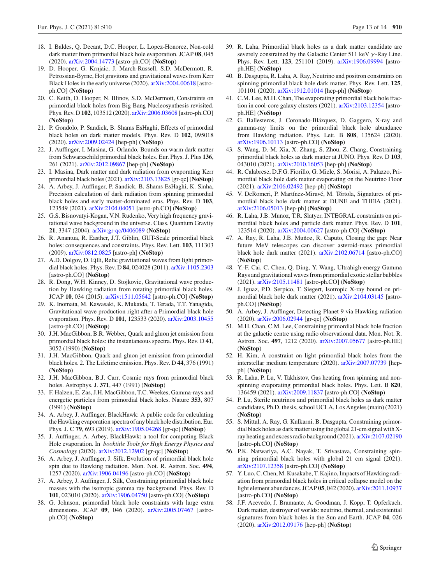- 18. I. Baldes, Q. Decant, D.C. Hooper, L. Lopez-Honorez, Non-cold dark matter from primordial black hole evaporation. JCAP **08**, 045 (2020). [arXiv:2004.14773](http://arxiv.org/abs/2004.14773) [astro-ph.CO] (**NoStop**)
- <span id="page-12-1"></span>19. D. Hooper, G. Krnjaic, J. March-Russell, S.D. McDermott, R. Petrossian-Byrne, Hot gravitons and gravitational waves from Kerr Black Holes in the early universe (2020). [arXiv:2004.00618](http://arxiv.org/abs/2004.00618) [astroph.CO] (**NoStop**)
- 20. C. Keith, D. Hooper, N. Blinov, S.D. McDermott, Constraints on primordial black holes from Big Bang Nucleosynthesis revisited. Phys. Rev. D **102**, 103512 (2020). [arXiv:2006.03608](http://arxiv.org/abs/2006.03608) [astro-ph.CO] (**NoStop**)
- 21. P. Gondolo, P. Sandick, B. Shams EsHaghi, Effects of primordial black holes on dark matter models. Phys. Rev. D **102**, 095018 (2020). [arXiv:2009.02424](http://arxiv.org/abs/2009.02424) [hep-ph] (**NoStop**)
- <span id="page-12-30"></span>22. J. Auffinger, I. Masina, G. Orlando, Bounds on warm dark matter from Schwarzschild primordial black holes. Eur. Phys. J. Plus **136**, 261 (2021). [arXiv:2012.09867](http://arxiv.org/abs/2012.09867) [hep-ph] (**NoStop**)
- <span id="page-12-31"></span>23. I. Masina, Dark matter and dark radiation from evaporating Kerr primordial black holes (2021). [arXiv:2103.13825](http://arxiv.org/abs/2103.13825) [gr-qc] (**NoStop**)
- <span id="page-12-0"></span>24. A. Arbey, J. Auffinger, P. Sandick, B. Shams EsHaghi, K. Sinha, Precision calculation of dark radiation from spinning primordial black holes and early matter-dominated eras. Phys. Rev. D **103**, 123549 (2021). [arXiv:2104.04051](http://arxiv.org/abs/2104.04051) [astro-ph.CO] (**NoStop**)
- <span id="page-12-2"></span>25. G.S. Bisnovatyi-Kogan, V.N. Rudenko, Very high frequency gravitational wave background in the universe. Class. Quantum Gravity **21**, 3347 (2004). [arXiv:gr-qc/0406089](http://arxiv.org/abs/gr-qc/0406089) (**NoStop**)
- 26. R. Anantua, R. Easther, J.T. Giblin, GUT-Scale primordial black holes: consequences and constraints. Phys. Rev. Lett. **103**, 111303 (2009). [arXiv:0812.0825](http://arxiv.org/abs/0812.0825) [astro-ph] (**NoStop**)
- 27. A.D. Dolgov, D. Ejlli, Relic gravitational waves from light primordial black holes. Phys. Rev. D **84**, 024028 (2011). [arXiv:1105.2303](http://arxiv.org/abs/1105.2303) [astro-ph.CO] (**NoStop**)
- 28. R. Dong, W.H. Kinney, D. Stojkovic, Gravitational wave production by Hawking radiation from rotating primordial black holes. JCAP **10**, 034 (2015). [arXiv:1511.05642](http://arxiv.org/abs/1511.05642) [astro-ph.CO] (**NoStop**)
- <span id="page-12-3"></span>29. K. Inomata, M. Kawasaki, K. Mukaida, T. Terada, T.T. Yanagida, Gravitational wave production right after a Primordial black hole evaporation. Phys. Rev. D **101**, 123533 (2020). [arXiv:2003.10455](http://arxiv.org/abs/2003.10455) [astro-ph.CO] (**NoStop**)
- <span id="page-12-4"></span>30. J.H. MacGibbon, B.R. Webber, Quark and gluon jet emission from primordial black holes: the instantaneous spectra. Phys. Rev. D **41**, 3052 (1990) (**NoStop**)
- <span id="page-12-32"></span>31. J.H. MacGibbon, Quark and gluon jet emission from primordial black holes. 2. The Lifetime emission. Phys. Rev. D **44**, 376 (1991) (**NoStop**)
- 32. J.H. MacGibbon, B.J. Carr, Cosmic rays from primordial black holes. Astrophys. J. **371**, 447 (1991) (**NoStop**)
- <span id="page-12-5"></span>33. F. Halzen, E. Zas, J.H. MacGibbon, T.C. Weekes, Gamma-rays and energetic particles from primordial black holes. Nature **353**, 807 (1991) (**NoStop**)
- <span id="page-12-6"></span>34. A. Arbey, J. Auffinger, BlackHawk: A public code for calculating the Hawking evaporation spectra of any black hole distribution. Eur. Phys. J. C **79**, 693 (2019). [arXiv:1905.04268](http://arxiv.org/abs/1905.04268) [gr-qc] (**NoStop**)
- <span id="page-12-7"></span>35. J. Auffinger, A. Arbey, BlackHawk: a tool for computing Black Hole evaporation. In *booktitle Tools for High Energy Physics and Cosmology* (2020). [arXiv:2012.12902](http://arxiv.org/abs/2012.12902) [gr-qc] (**NoStop**)
- <span id="page-12-8"></span>36. A. Arbey, J. Auffinger, J. Silk, Evolution of primordial black hole spin due to Hawking radiation. Mon. Not. R. Astron. Soc. **494**, 1257 (2020). [arXiv:1906.04196](http://arxiv.org/abs/1906.04196) [astro-ph.CO] (**NoStop**)
- <span id="page-12-9"></span>37. A. Arbey, J. Auffinger, J. Silk, Constraining primordial black hole masses with the isotropic gamma ray background. Phys. Rev. D **101**, 023010 (2020). [arXiv:1906.04750](http://arxiv.org/abs/1906.04750) [astro-ph.CO] (**NoStop**)
- <span id="page-12-10"></span>38. G. Johnson, primordial black hole constraints with large extra dimensions. JCAP **09**, 046 (2020). [arXiv:2005.07467](http://arxiv.org/abs/2005.07467) [astroph.CO] (**NoStop**)
- <span id="page-12-11"></span>39. R. Laha, Primordial black holes as a dark matter candidate are severely constrained by the Galactic Center 511 keV  $\gamma$ -Ray Line. Phys. Rev. Lett. **123**, 251101 (2019). [arXiv:1906.09994](http://arxiv.org/abs/1906.09994) [astroph.HE] (**NoStop**)
- <span id="page-12-12"></span>40. B. Dasgupta, R. Laha, A. Ray, Neutrino and positron constraints on spinning primordial black hole dark matter. Phys. Rev. Lett. **125**, 101101 (2020). [arXiv:1912.01014](http://arxiv.org/abs/1912.01014) [hep-ph] (**NoStop**)
- <span id="page-12-13"></span>41. C.M. Lee, M.H. Chan, The evaporating primordial black hole fraction in cool-core galaxy clusters (2021). [arXiv:2103.12354](http://arxiv.org/abs/2103.12354) [astroph.HE] (**NoStop**)
- <span id="page-12-14"></span>42. G. Ballesteros, J. Coronado-Blázquez, D. Gaggero, X-ray and gamma-ray limits on the primordial black hole abundance from Hawking radiation. Phys. Lett. B **808**, 135624 (2020). [arXiv:1906.10113](http://arxiv.org/abs/1906.10113) [astro-ph.CO] (**NoStop**)
- <span id="page-12-15"></span>43. S. Wang, D.-M. Xia, X. Zhang, S. Zhou, Z. Chang, Constraining primordial black holes as dark matter at JUNO. Phys. Rev. D **103**, 043010 (2021). [arXiv:2010.16053](http://arxiv.org/abs/2010.16053) [hep-ph] (**NoStop**)
- <span id="page-12-16"></span>44. R. Calabrese, D.F.G. Fiorillo, G. Miele, S. Morisi, A. Palazzo, Primordial black hole dark matter evaporating on the Neutrino Floor (2021). [arXiv:2106.02492](http://arxiv.org/abs/2106.02492) [hep-ph] (**NoStop**)
- <span id="page-12-17"></span>45. V. DeRomeri, P. Martínez-Miravé, M. Tórtola, Signatures of primordial black hole dark matter at DUNE and THEIA (2021). [arXiv:2106.05013](http://arxiv.org/abs/2106.05013) [hep-ph] (**NoStop**)
- <span id="page-12-18"></span>46. R. Laha, J.B. Muñoz, T.R. Slatyer, INTEGRAL constraints on primordial black holes and particle dark matter. Phys. Rev. D **101**, 123514 (2020). [arXiv:2004.00627](http://arxiv.org/abs/2004.00627) [astro-ph.CO] (**NoStop**)
- <span id="page-12-19"></span>47. A. Ray, R. Laha, J.B. Muñoz, R. Caputo, Closing the gap: Near future MeV telescopes can discover asteroid-mass primordial black hole dark matter (2021). [arXiv:2102.06714](http://arxiv.org/abs/2102.06714) [astro-ph.CO] (**NoStop**)
- <span id="page-12-20"></span>48. Y.-F. Cai, C. Chen, Q. Ding, Y. Wang, Ultrahigh-energy Gamma Rays and gravitational waves from primordial exotic stellar bubbles (2021). [arXiv:2105.11481](http://arxiv.org/abs/2105.11481) [astro-ph.CO] (**NoStop**)
- <span id="page-12-21"></span>49. J. Iguaz, P.D. Serpico, T. Siegert, Isotropic X-ray bound on primordial black hole dark matter (2021). [arXiv:2104.03145](http://arxiv.org/abs/2104.03145) [astroph.CO] (**NoStop**)
- <span id="page-12-22"></span>50. A. Arbey, J. Auffinger, Detecting Planet 9 via Hawking radiation (2020). [arXiv:2006.02944](http://arxiv.org/abs/2006.02944) [gr-qc] (**NoStop**)
- <span id="page-12-23"></span>51. M.H. Chan, C.M. Lee, Constraining primordial black hole fraction at the galactic centre using radio observational data. Mon. Not. R. Astron. Soc. **497**, 1212 (2020). [arXiv:2007.05677](http://arxiv.org/abs/2007.05677) [astro-ph.HE] (**NoStop**)
- <span id="page-12-24"></span>52. H. Kim, A constraint on light primordial black holes from the interstellar medium temperature (2020). [arXiv:2007.07739](http://arxiv.org/abs/2007.07739) [hepph] (**NoStop**)
- 53. R. Laha, P. Lu, V. Takhistov, Gas heating from spinning and nonspinning evaporating primordial black holes. Phys. Lett. B **820**, 136459 (2021). [arXiv:2009.11837](http://arxiv.org/abs/2009.11837) [astro-ph.CO] (**NoStop**)
- <span id="page-12-25"></span>54. P. Lu, Sterile neutrinos and primordial black holes as dark matter candidates, Ph.D. thesis, school UCLA, Los Angeles (main) (2021) (**NoStop**)
- <span id="page-12-26"></span>55. S. Mittal, A. Ray, G. Kulkarni, B. Dasgupta, Constraining primordial black holes as dark matter using the global 21-cm signal with Xray heating and excess radio background (2021). [arXiv:2107.02190](http://arxiv.org/abs/2107.02190) [astro-ph.CO] (**NoStop**)
- <span id="page-12-27"></span>56. P.K. Natwariya, A.C. Nayak, T. Srivastava, Constraining spinning primordial black holes with global 21 cm signal (2021). [arXiv:2107.12358](http://arxiv.org/abs/2107.12358) [astro-ph.CO] (**NoStop**)
- <span id="page-12-28"></span>57. Y. Luo, C. Chen, M. Kusakabe, T. Kajino, Impacts of Hawking radiation from primordial black holes in critical collapse model on the light element abundances. JCAP **05**, 042 (2020). [arXiv:2011.10937](http://arxiv.org/abs/2011.10937) [astro-ph.CO] (**NoStop**)
- <span id="page-12-29"></span>58. J.F. Acevedo, J. Bramante, A. Goodman, J. Kopp, T. Opferkuch, Dark matter, destroyer of worlds: neutrino, thermal, and existential signatures from black holes in the Sun and Earth. JCAP **04**, 026 (2020). [arXiv:2012.09176](http://arxiv.org/abs/2012.09176) [hep-ph] (**NoStop**)